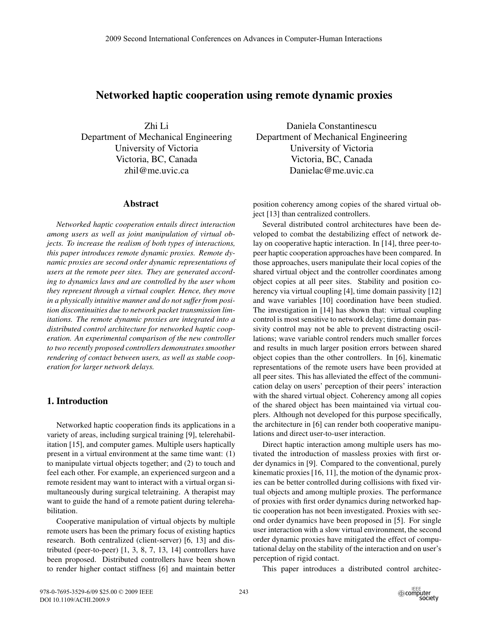# **Networked haptic cooperation using remote dynamic proxies**

Zhi Li Department of Mechanical Engineering University of Victoria Victoria, BC, Canada zhil@me.uvic.ca

#### **Abstract**

*Networked haptic cooperation entails direct interaction among users as well as joint manipulation of virtual objects. To increase the realism of both types of interactions, this paper introduces remote dynamic proxies. Remote dynamic proxies are second order dynamic representations of users at the remote peer sites. They are generated according to dynamics laws and are controlled by the user whom they represent through a virtual coupler. Hence, they move in a physically intuitive manner and do not suffer from position discontinuities due to network packet transmission limitations. The remote dynamic proxies are integrated into a distributed control architecture for networked haptic cooperation. An experimental comparison of the new controller to two recently proposed controllers demonstrates smoother rendering of contact between users, as well as stable cooperation for larger network delays.*

#### **1. Introduction**

Networked haptic cooperation finds its applications in a variety of areas, including surgical training [9], telerehabilitation [15], and computer games. Multiple users haptically present in a virtual environment at the same time want: (1) to manipulate virtual objects together; and (2) to touch and feel each other. For example, an experienced surgeon and a remote resident may want to interact with a virtual organ simultaneously during surgical teletraining. A therapist may want to guide the hand of a remote patient during telerehabilitation.

Cooperative manipulation of virtual objects by multiple remote users has been the primary focus of existing haptics research. Both centralized (client-server) [6, 13] and distributed (peer-to-peer) [1, 3, 8, 7, 13, 14] controllers have been proposed. Distributed controllers have been shown to render higher contact stiffness [6] and maintain better

Daniela Constantinescu Department of Mechanical Engineering University of Victoria Victoria, BC, Canada Danielac@me.uvic.ca

position coherency among copies of the shared virtual object [13] than centralized controllers.

Several distributed control architectures have been developed to combat the destabilizing effect of network delay on cooperative haptic interaction. In [14], three peer-topeer haptic cooperation approaches have been compared. In those approaches, users manipulate their local copies of the shared virtual object and the controller coordinates among object copies at all peer sites. Stability and position coherency via virtual coupling [4], time domain passivity [12] and wave variables [10] coordination have been studied. The investigation in [14] has shown that: virtual coupling control is most sensitive to network delay; time domain passivity control may not be able to prevent distracting oscillations; wave variable control renders much smaller forces and results in much larger position errors between shared object copies than the other controllers. In [6], kinematic representations of the remote users have been provided at all peer sites. This has alleviated the effect of the communication delay on users' perception of their peers' interaction with the shared virtual object. Coherency among all copies of the shared object has been maintained via virtual couplers. Although not developed for this purpose specifically, the architecture in [6] can render both cooperative manipulations and direct user-to-user interaction.

Direct haptic interaction among multiple users has motivated the introduction of massless proxies with first order dynamics in [9]. Compared to the conventional, purely kinematic proxies [16, 11], the motion of the dynamic proxies can be better controlled during collisions with fixed virtual objects and among multiple proxies. The performance of proxies with first order dynamics during networked haptic cooperation has not been investigated. Proxies with second order dynamics have been proposed in [5]. For single user interaction with a slow virtual environment, the second order dynamic proxies have mitigated the effect of computational delay on the stability of the interaction and on user's perception of rigid contact.

This paper introduces a distributed control architec-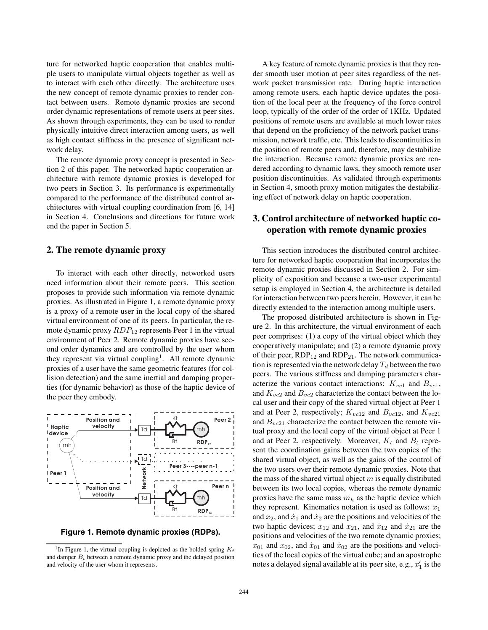ture for networked haptic cooperation that enables multiple users to manipulate virtual objects together as well as to interact with each other directly. The architecture uses the new concept of remote dynamic proxies to render contact between users. Remote dynamic proxies are second order dynamic representations of remote users at peer sites. As shown through experiments, they can be used to render physically intuitive direct interaction among users, as well as high contact stiffness in the presence of significant network delay.

The remote dynamic proxy concept is presented in Section 2 of this paper. The networked haptic cooperation architecture with remote dynamic proxies is developed for two peers in Section 3. Its performance is experimentally compared to the performance of the distributed control architectures with virtual coupling coordination from [6, 14] in Section 4. Conclusions and directions for future work end the paper in Section 5.

#### **2. The remote dynamic proxy**

To interact with each other directly, networked users need information about their remote peers. This section proposes to provide such information via remote dynamic proxies. As illustrated in Figure 1, a remote dynamic proxy is a proxy of a remote user in the local copy of the shared virtual environment of one of its peers. In particular, the remote dynamic proxy  $RDP_{12}$  represents Peer 1 in the virtual environment of Peer 2. Remote dynamic proxies have second order dynamics and are controlled by the user whom they represent via virtual coupling<sup>1</sup>. All remote dynamic proxies of a user have the same geometric features (for collision detection) and the same inertial and damping properties (for dynamic behavior) as those of the haptic device of the peer they embody.



**Figure 1. Remote dynamic proxies (RDPs).**

A key feature of remote dynamic proxies is that they render smooth user motion at peer sites regardless of the network packet transmission rate. During haptic interaction among remote users, each haptic device updates the position of the local peer at the frequency of the force control loop, typically of the order of the order of 1KHz. Updated positions of remote users are available at much lower rates that depend on the proficiency of the network packet transmission, network traffic, etc. This leads to discontinuities in the position of remote peers and, therefore, may destabilize the interaction. Because remote dynamic proxies are rendered according to dynamic laws, they smooth remote user position discontinuities. As validated through experiments in Section 4, smooth proxy motion mitigates the destabilizing effect of network delay on haptic cooperation.

## **3. Control architecture of networked haptic cooperation with remote dynamic proxies**

This section introduces the distributed control architecture for networked haptic cooperation that incorporates the remote dynamic proxies discussed in Section 2. For simplicity of exposition and because a two-user experimental setup is employed in Section 4, the architecture is detailed for interaction between two peers herein. However, it can be directly extended to the interaction among multiple users.

The proposed distributed architecture is shown in Figure 2. In this architecture, the virtual environment of each peer comprises: (1) a copy of the virtual object which they cooperatively manipulate; and (2) a remote dynamic proxy of their peer,  $RDP_{12}$  and  $RDP_{21}$ . The network communication is represented via the network delay  $T_d$  between the two peers. The various stiffness and damping parameters characterize the various contact interactions:  $K_{vc1}$  and  $B_{vc1}$ , and  $K_{vc2}$  and  $B_{vc2}$  characterize the contact between the local user and their copy of the shared virtual object at Peer 1 and at Peer 2, respectively;  $K_{vc12}$  and  $B_{vc12}$ , and  $K_{vc21}$ and  $B_{vc21}$  characterize the contact between the remote virtual proxy and the local copy of the virtual object at Peer 1 and at Peer 2, respectively. Moreover,  $K_t$  and  $B_t$  represent the coordination gains between the two copies of the shared virtual object, as well as the gains of the control of the two users over their remote dynamic proxies. Note that the mass of the shared virtual object *m* is equally distributed between its two local copies, whereas the remote dynamic proxies have the same mass *m<sup>h</sup>* as the haptic device which they represent. Kinematics notation is used as follows:  $x_1$ and  $x_2$ , and  $\dot{x}_1$  and  $\dot{x}_2$  are the positions and velocities of the two haptic devices;  $x_{12}$  and  $x_{21}$ , and  $\dot{x}_{12}$  and  $\dot{x}_{21}$  are the positions and velocities of the two remote dynamic proxies;  $x_{01}$  and  $x_{02}$ , and  $\dot{x}_{01}$  and  $\dot{x}_{02}$  are the positions and velocities of the local copies of the virtual cube; and an apostrophe notes a delayed signal available at its peer site, e.g.,  $x_1'$  is the

<sup>&</sup>lt;sup>1</sup>In Figure 1, the virtual coupling is depicted as the bolded spring  $K_t$ and damper  $B_t$  between a remote dynamic proxy and the delayed position and velocity of the user whom it represents.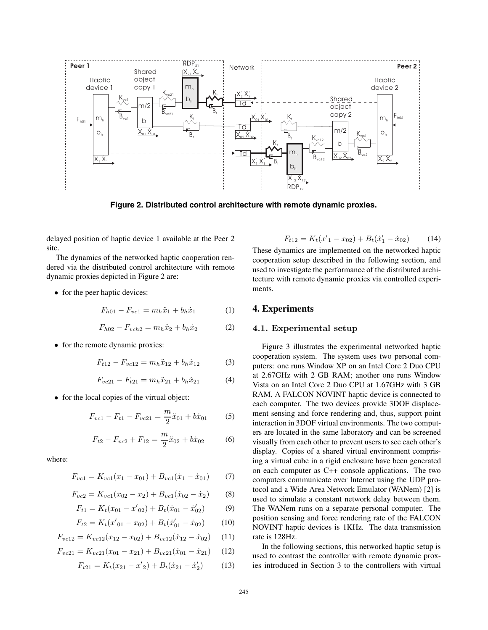

**Figure 2. Distributed control architecture with remote dynamic proxies.**

delayed position of haptic device 1 available at the Peer 2 site.

The dynamics of the networked haptic cooperation rendered via the distributed control architecture with remote dynamic proxies depicted in Figure 2 are:

• for the peer haptic devices:

$$
F_{h01} - F_{vc1} = m_h \ddot{x}_1 + b_h \dot{x}_1 \tag{1}
$$

$$
F_{h02} - F_{vch2} = m_h \ddot{x}_2 + b_h \dot{x}_2 \tag{2}
$$

• for the remote dynamic proxies:

$$
F_{t12} - F_{vc12} = m_h \ddot{x}_{12} + b_h \dot{x}_{12}
$$
 (3)

$$
F_{vc21} - F_{t21} = m_h \ddot{x}_{21} + b_h \dot{x}_{21}
$$
 (4)

• for the local copies of the virtual object:

$$
F_{vc1} - F_{t1} - F_{vc21} = \frac{m}{2}\ddot{x}_{01} + b\dot{x}_{01}
$$
 (5)

$$
F_{t2} - F_{vc2} + F_{12} = \frac{m}{2}\ddot{x}_{02} + b\dot{x}_{02}
$$
 (6)

where:

$$
F_{vc1} = K_{vc1}(x_1 - x_{01}) + B_{vc1}(\dot{x}_1 - \dot{x}_{01})
$$
 (7)

$$
F_{vc2} = K_{vc1}(x_{02} - x_2) + B_{vc1}(\dot{x}_{02} - \dot{x}_2)
$$
 (8)

$$
F_{t1} = K_t(x_{01} - x'_{02}) + B_t(\dot{x}_{01} - \dot{x}'_{02})
$$
 (9)

$$
F_{t2} = K_t(x'_{01} - x_{02}) + B_t(\dot{x}'_{01} - \dot{x}_{02})
$$
 (10)

$$
F_{vc12} = K_{vc12}(x_{12} - x_{02}) + B_{vc12}(\dot{x}_{12} - \dot{x}_{02}) \tag{11}
$$

$$
F_{vc21} = K_{vc21}(x_{01} - x_{21}) + B_{vc21}(\dot{x}_{01} - \dot{x}_{21}) \tag{12}
$$

$$
F_{t21} = K_t(x_{21} - x_2') + B_t(\dot{x}_{21} - \dot{x}_2')
$$
 (13)

$$
F_{t12} = K_t(x'_1 - x_{02}) + B_t(\dot{x}'_1 - \dot{x}_{02}) \tag{14}
$$

These dynamics are implemented on the networked haptic cooperation setup described in the following section, and used to investigate the performance of the distributed architecture with remote dynamic proxies via controlled experiments.

#### **4. Experiments**

#### **4.1. Experimental setup**

Figure 3 illustrates the experimental networked haptic cooperation system. The system uses two personal computers: one runs Window XP on an Intel Core 2 Duo CPU at 2.67GHz with 2 GB RAM; another one runs Window Vista on an Intel Core 2 Duo CPU at 1.67GHz with 3 GB RAM. A FALCON NOVINT haptic device is connected to each computer. The two devices provide 3DOF displacement sensing and force rendering and, thus, support point interaction in 3DOF virtual environments. The two computers are located in the same laboratory and can be screened visually from each other to prevent users to see each other's display. Copies of a shared virtual environment comprising a virtual cube in a rigid enclosure have been generated on each computer as C++ console applications. The two computers communicate over Internet using the UDP protocol and a Wide Area Network Emulator (WANem) [2] is used to simulate a constant network delay between them. The WANem runs on a separate personal computer. The position sensing and force rendering rate of the FALCON NOVINT haptic devices is 1KHz. The data transmission rate is 128Hz.

In the following sections, this networked haptic setup is used to contrast the controller with remote dynamic proxies introduced in Section 3 to the controllers with virtual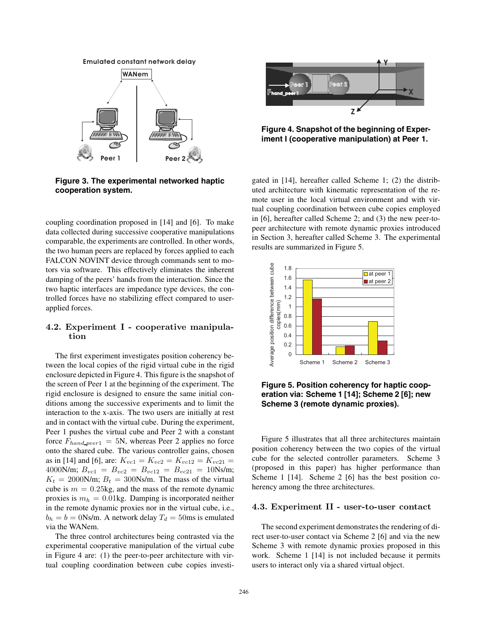#### **Emulated constant network delay**



**Figure 3. The experimental networked haptic cooperation system.**

coupling coordination proposed in [14] and [6]. To make data collected during successive cooperative manipulations comparable, the experiments are controlled. In other words, the two human peers are replaced by forces applied to each FALCON NOVINT device through commands sent to motors via software. This effectively eliminates the inherent damping of the peers' hands from the interaction. Since the two haptic interfaces are impedance type devices, the controlled forces have no stabilizing effect compared to userapplied forces.

### **4.2. Experiment I - cooperative manipulation**

The first experiment investigates position coherency between the local copies of the rigid virtual cube in the rigid enclosure depicted in Figure 4. This figure is the snapshot of the screen of Peer 1 at the beginning of the experiment. The rigid enclosure is designed to ensure the same initial conditions among the successive experiments and to limit the interaction to the x-axis. The two users are initially at rest and in contact with the virtual cube. During the experiment, Peer 1 pushes the virtual cube and Peer 2 with a constant force  $F_{hand\_peer1} = 5N$ , whereas Peer 2 applies no force onto the shared cube. The various controller gains, chosen as in [14] and [6], are:  $K_{vc1} = K_{vc2} = K_{vc12} = K_{vc21} =$ 4000N/m;  $B_{vc1} = B_{vc2} = B_{vc12} = B_{vc21} = 10$ Ns/m;  $K_t = 2000$ N/m;  $B_t = 300$ Ns/m. The mass of the virtual cube is  $m = 0.25$ kg, and the mass of the remote dynamic proxies is *m<sup>h</sup>* = 0*.*01kg. Damping is incorporated neither in the remote dynamic proxies nor in the virtual cube, i.e.,  $b_h = b = 0$ Ns/m. A network delay  $T_d = 50$ ms is emulated via the WANem.

The three control architectures being contrasted via the experimental cooperative manipulation of the virtual cube in Figure 4 are: (1) the peer-to-peer architecture with virtual coupling coordination between cube copies investi-



**Figure 4. Snapshot of the beginning of Experiment I (cooperative manipulation) at Peer 1.**

gated in [14], hereafter called Scheme 1; (2) the distributed architecture with kinematic representation of the remote user in the local virtual environment and with virtual coupling coordination between cube copies employed in [6], hereafter called Scheme 2; and (3) the new peer-topeer architecture with remote dynamic proxies introduced in Section 3, hereafter called Scheme 3. The experimental results are summarized in Figure 5.



**Figure 5. Position coherency for haptic cooperation via: Scheme 1 [14]; Scheme 2 [6]; new Scheme 3 (remote dynamic proxies).**

Figure 5 illustrates that all three architectures maintain position coherency between the two copies of the virtual cube for the selected controller parameters. Scheme 3 (proposed in this paper) has higher performance than Scheme 1 [14]. Scheme 2 [6] has the best position coherency among the three architectures.

#### **4.3. Experiment II - user-to-user contact**

The second experiment demonstrates the rendering of direct user-to-user contact via Scheme 2 [6] and via the new Scheme 3 with remote dynamic proxies proposed in this work. Scheme 1 [14] is not included because it permits users to interact only via a shared virtual object.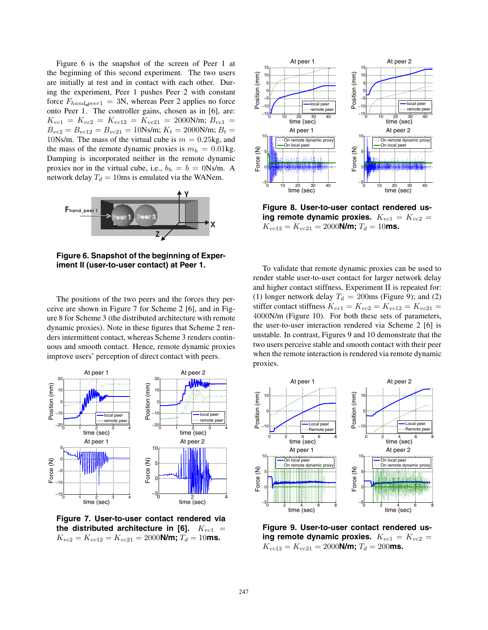Figure 6 is the snapshot of the screen of Peer 1 at the beginning of this second experiment. The two users are initially at rest and in contact with each other. During the experiment, Peer 1 pushes Peer 2 with constant force  $F_{hand\_peer1} = 3N$ , whereas Peer 2 applies no force onto Peer 1. The controller gains, chosen as in [6], are:  $K_{vc1} = K_{vc2} = K_{vc12} = K_{vc21} = 2000$ N/m;  $B_{vc1} =$  $B_{vc2} = B_{vc12} = B_{vc21} = 10$ Ns/m;  $K_t = 2000$ N/m;  $B_t =$ 10Ns/m. The mass of the virtual cube is  $m = 0.25$ kg, and the mass of the remote dynamic proxies is  $m_h = 0.01$ kg. Damping is incorporated neither in the remote dynamic proxies nor in the virtual cube, i.e.,  $b_h = b = 0$ Ns/m. A network delay  $T_d = 10$ ms is emulated via the WANem.



**Figure 6. Snapshot of the beginning of Experiment II (user-to-user contact) at Peer 1.**

The positions of the two peers and the forces they perceive are shown in Figure 7 for Scheme 2 [6], and in Figure 8 for Scheme 3 (the distributed architecture with remote dynamic proxies). Note in these figures that Scheme 2 renders intermittent contact, whereas Scheme 3 renders continuous and smooth contact. Hence, remote dynamic proxies improve users' perception of direct contact with peers.



**Figure 7. User-to-user contact rendered via the distributed architecture in [6].** *Kvc*<sup>1</sup> =  $K_{vc2} = K_{vc12} = K_{vc21} = 2000$ **N/m;**  $T_d = 10$ **ms.** 



**Figure 8. User-to-user contact rendered us**ing remote dynamic proxies.  $K_{vc1} = K_{vc2} =$  $K_{vc12} = K_{vc21} = 2000$ **N/m;**  $T_d = 10$ **ms.** 

To validate that remote dynamic proxies can be used to render stable user-to-user contact for larger network delay and higher contact stiffness, Experiment II is repeated for: (1) longer network delay  $T_d = 200$ ms (Figure 9); and (2) stiffer contact stiffness  $K_{vc1} = K_{vc2} = K_{vc12} = K_{vc21} =$ 4000N/m (Figure 10). For both these sets of parameters, the user-to-user interaction rendered via Scheme 2 [6] is unstable. In contrast, Figures 9 and 10 demonstrate that the two users perceive stable and smooth contact with their peer when the remote interaction is rendered via remote dynamic proxies.



**Figure 9. User-to-user contact rendered us**ing remote dynamic proxies.  $K_{vc1} = K_{vc2} =$  $K_{vc12} = K_{vc21} = 2000$ **N/m;**  $T_d = 200$ **ms.**